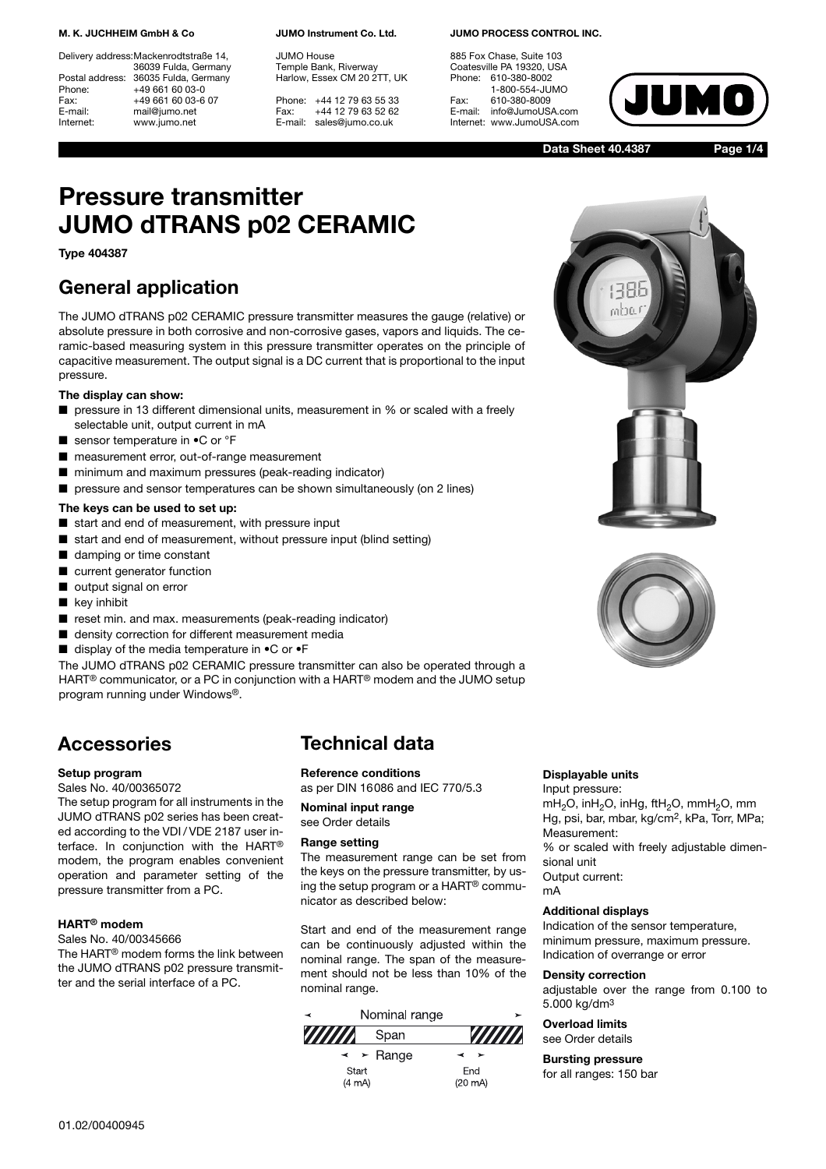#### **M. K. JUCHHEIM GmbH & Co**

Delivery address:Mackenrodtstraße 14, 36039 Fulda, Germany Postal address: 36035 Fulda, Germany<br>Phone: +49 661 60 03-0 Phone: +49 661 60 03-0<br>Fax: +49 661 60 03-6 Fax: +49 661 60 03-6 07<br>E-mail: mail@jumo.net mail@jumo.net Internet: www.jumo.net

**JUMO Instrument Co. Ltd.**

JUMO House Temple Bank, Riverway Harlow, Essex CM 20 2TT, UK

Phone: +44 12 79 63 55 33 Fax: +44 12 79 63 52 62 E-mail: sales@jumo.co.uk

#### **JUMO PROCESS CONTROL INC.**

885 Fox Chase, Suite 103 Coatesville PA 19320, USA Phone: 610-380-8002 1-800-554-JUMO Fax: 610-380-8009<br>E-mail: info@JumoUS info@JumoUSA.com Internet: www.JumoUSA.com



**Data Sheet 40.4387**

**Page 1/4**

# **Pressure transmitter JUMO dTRANS p02 CERAMIC**

## **Type 404387**

## **General application**

The JUMO dTRANS p02 CERAMIC pressure transmitter measures the gauge (relative) or absolute pressure in both corrosive and non-corrosive gases, vapors and liquids. The ceramic-based measuring system in this pressure transmitter operates on the principle of capacitive measurement. The output signal is a DC current that is proportional to the input pressure.

### **The display can show:**

- pressure in 13 different dimensional units, measurement in % or scaled with a freely selectable unit, output current in mA
- sensor temperature in  $\bullet$ C or °F
- measurement error, out-of-range measurement
- minimum and maximum pressures (peak-reading indicator)
- pressure and sensor temperatures can be shown simultaneously (on 2 lines)

### **The keys can be used to set up:**

- start and end of measurement, with pressure input
- start and end of measurement, without pressure input (blind setting)
- damping or time constant
- current generator function
- output signal on error
- key inhibit
- reset min. and max. measurements (peak-reading indicator)
- density correction for different measurement media
- display of the media temperature in  $\bullet$ C or  $\bullet$ F

The JUMO dTRANS p02 CERAMIC pressure transmitter can also be operated through a HART® communicator, or a PC in conjunction with a HART® modem and the JUMO setup program running under Windows®.

## **Accessories**

### **Setup program**

Sales No. 40/00365072

The setup program for all instruments in the JUMO dTRANS p02 series has been created according to the VDI / VDE 2187 user interface. In conjunction with the HART® modem, the program enables convenient operation and parameter setting of the pressure transmitter from a PC.

## **HART® modem**

Sales No. 40/00345666 The HART® modem forms the link between the JUMO dTRANS p02 pressure transmit-

ter and the serial interface of a PC.

## **Technical data**

## **Reference conditions**

as per DIN 16086 and IEC 770/5.3

**Nominal input range** see Order details

### **Range setting**

The measurement range can be set from the keys on the pressure transmitter, by using the setup program or a HART® communicator as described below:

Start and end of the measurement range can be continuously adjusted within the nominal range. The span of the measurement should not be less than 10% of the nominal range.







### **Displayable units**

Input pressure: mH<sub>2</sub>O, inH<sub>2</sub>O, inHg, ftH<sub>2</sub>O, mmH<sub>2</sub>O, mm Hg, psi, bar, mbar, kg/cm2, kPa, Torr, MPa; Measurement:

% or scaled with freely adjustable dimensional unit

Output current: mA

## **Additional displays**

Indication of the sensor temperature, minimum pressure, maximum pressure. Indication of overrange or error

#### **Density correction**

adjustable over the range from 0.100 to 5.000 kg/dm3

#### **Overload limits** see Order details

**Bursting pressure**

for all ranges: 150 bar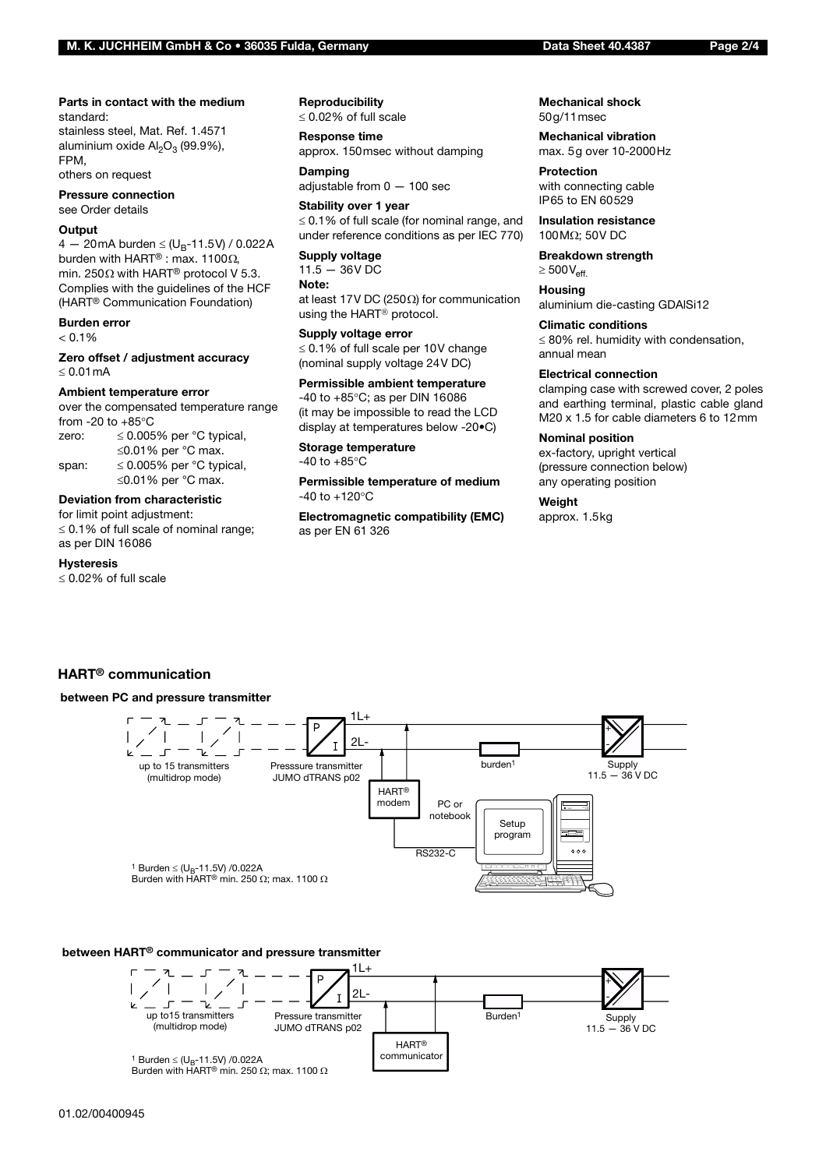#### **Parts in contact with the medium** standard:

stainless steel, Mat. Ref. 1.4571 aluminium oxide  $Al_2O_3$  (99.9%), FPM,

others on request

**Pressure connection** see Order details

#### **Output**

4 — 20mA burden  $\leq$  (U<sub>B</sub>-11.5V) / 0.022A burden with HART® : max. 1100Ω, min. 250 $\Omega$  with HART<sup>®</sup> protocol V 5.3. Complies with the guidelines of the HCF (HART® Communication Foundation)

## **Burden error**

 $< 0.1%$ 

**Zero offset / adjustment accuracy** ≤ 0.01mA

#### **Ambient temperature error**

over the compensated temperature range from  $-20$  to  $+85^{\circ}$ C

zero:  $\leq 0.005\%$  per °C typical, ≤0.01% per °C max. span:  $\leq 0.005\%$  per °C typical, ≤0.01% per °C max.

#### **Deviation from characteristic**

for limit point adjustment: ≤ 0.1% of full scale of nominal range; as per DIN 16086

#### **Hysteresis**

≤ 0.02% of full scale

#### **Reproducibility**

≤ 0.02% of full scale

**Response time** approx. 150msec without damping

**Damping** adjustable from 0 — 100 sec

**Stability over 1 year** ≤ 0.1% of full scale (for nominal range, and under reference conditions as per IEC 770)

#### **Supply voltage**

 $11.5 - 36V$  DC **Note:** at least 17V DC (250Ω) for communication using the HART® protocol.

#### **Supply voltage error**

≤ 0.1% of full scale per 10V change (nominal supply voltage 24V DC)

## **Permissible ambient temperature**

-40 to +85°C; as per DIN 16086 (it may be impossible to read the LCD display at temperatures below -20•C)

#### **Storage temperature**  $-40$  to  $+85^{\circ}$ C

**Permissible temperature of medium**  $-40$  to  $+120^{\circ}$ C

**Electromagnetic compatibility (EMC)** as per EN 61 326

#### **Mechanical shock** 50g/11msec

**Mechanical vibration** max. 5g over 10-2000Hz

**Protection** with connecting cable IP65 to EN 60529

**Insulation resistance** 100MΩ; 50V DC

**Breakdown strength**  $\geq 500V_{\text{eff}}$ 

**Housing** aluminium die-casting GDAlSi12

**Climatic conditions**

≤ 80% rel. humidity with condensation, annual mean

#### **Electrical connection**

clamping case with screwed cover, 2 poles and earthing terminal, plastic cable gland M20 x 1.5 for cable diameters 6 to 12mm

#### **Nominal position**

ex-factory, upright vertical (pressure connection below) any operating position

#### **Weight**

approx. 1.5kg

## **HART® communication**

#### **between PC and pressure transmitter**



### **between HART® communicator and pressure transmitter**

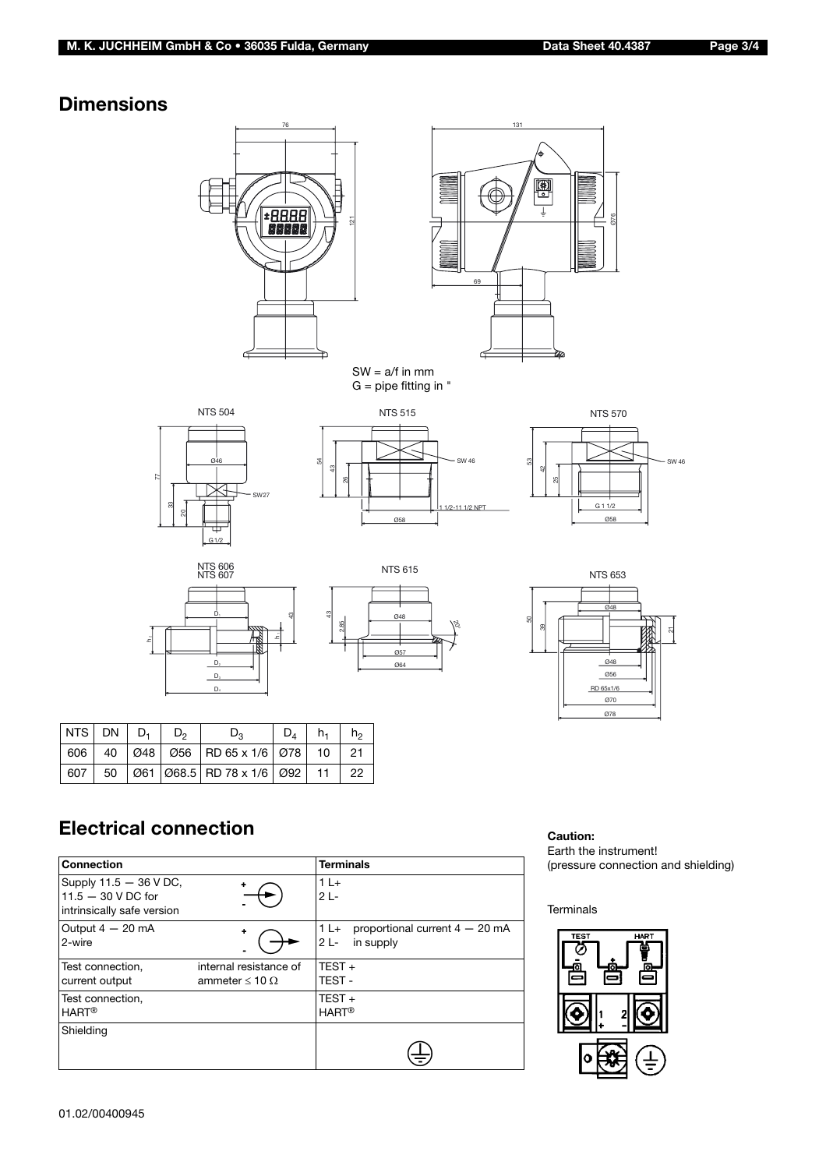## **Dimensions**





SW = a/f in mm G = pipe fitting in "





NTS 504







Ø78

| 의 |                                                    | 43<br>ż |
|---|----------------------------------------------------|---------|
| ↸ | $\mathsf{D}_2$<br>$\mathsf{D}_3$<br>D <sub>4</sub> |         |



| NTS DN $D_1$ D <sub>2</sub> |  | $D_{2}$                                                                               | $D_4$   $h_1$ | h <sub>2</sub> |
|-----------------------------|--|---------------------------------------------------------------------------------------|---------------|----------------|
|                             |  | 606   40   Ø48   Ø56   RD 65 x 1/6   Ø78   10   21                                    |               |                |
|                             |  | 607   50   $\emptyset$ 61   $\emptyset$ 68.5   RD 78 x 1/6   $\emptyset$ 92   11   22 |               |                |

## **Electrical connection**

| <b>Connection</b>                                                            |                                                    | <b>Terminals</b>                                                   |
|------------------------------------------------------------------------------|----------------------------------------------------|--------------------------------------------------------------------|
| Supply 11.5 - 36 V DC,<br>$11.5 - 30$ V DC for<br>intrinsically safe version | ۰                                                  | $1L+$<br>$2L -$                                                    |
| Output $4-20$ mA<br>2-wire                                                   | ۰                                                  | $1 L +$<br>proportional current $4 - 20$ mA<br>$2L -$<br>in supply |
| Test connection.<br>current output                                           | internal resistance of<br>ammeter $\leq 10 \Omega$ | $TEST +$<br>TEST-                                                  |
| Test connection,<br><b>HART<sup>®</sup></b>                                  |                                                    | TEST $+$<br><b>HART<sup>®</sup></b>                                |
| Shielding                                                                    |                                                    |                                                                    |

## **Caution:**

Earth the instrument! (pressure connection and shielding)

## Terminals